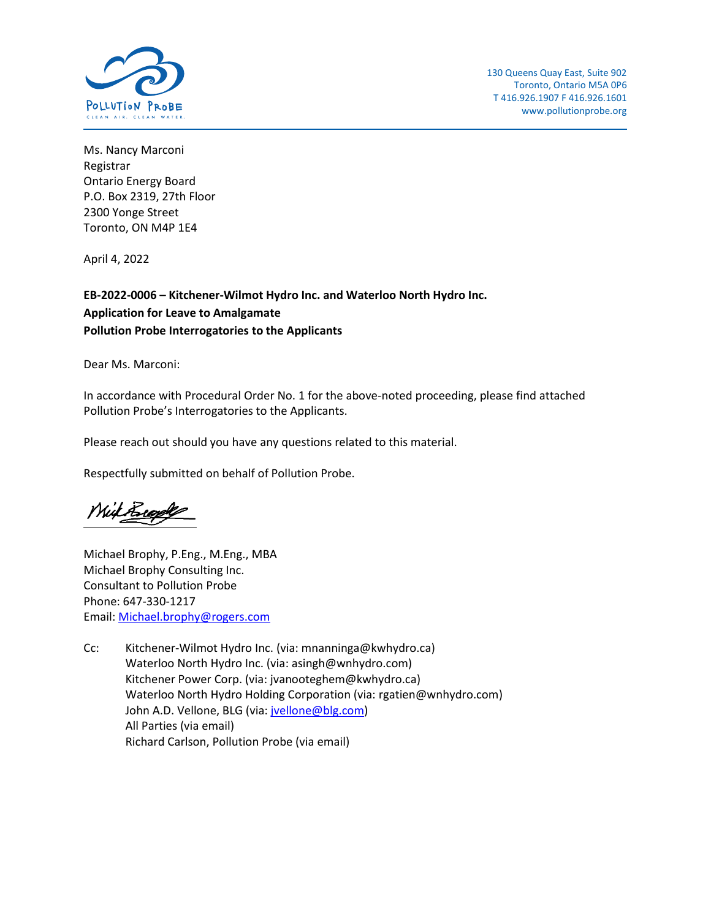

Ms. Nancy Marconi Registrar Ontario Energy Board P.O. Box 2319, 27th Floor 2300 Yonge Street Toronto, ON M4P 1E4

April 4, 2022

#### **EB-2022-0006 – Kitchener-Wilmot Hydro Inc. and Waterloo North Hydro Inc. Application for Leave to Amalgamate Pollution Probe Interrogatories to the Applicants**

Dear Ms. Marconi:

In accordance with Procedural Order No. 1 for the above-noted proceeding, please find attached Pollution Probe's Interrogatories to the Applicants.

Please reach out should you have any questions related to this material.

Respectfully submitted on behalf of Pollution Probe.

Mil Brooks

Michael Brophy, P.Eng., M.Eng., MBA Michael Brophy Consulting Inc. Consultant to Pollution Probe Phone: 647-330-1217 Email: [Michael.brophy@rogers.com](mailto:Michael.brophy@rogers.com)

Cc: Kitchener-Wilmot Hydro Inc. (via: mnanninga@kwhydro.ca) Waterloo North Hydro Inc. (via: asingh@wnhydro.com) Kitchener Power Corp. (via: [jvanooteghem@kwhydro.ca\)](mailto:jvanooteghem@kwhydro.ca) Waterloo North Hydro Holding Corporation (via: [rgatien@wnhydro.com\)](mailto:rgatien@wnhydro.com) John A.D. Vellone, BLG (via: [jvellone@blg.com\)](mailto:jvellone@blg.com) All Parties (via email) Richard Carlson, Pollution Probe (via email)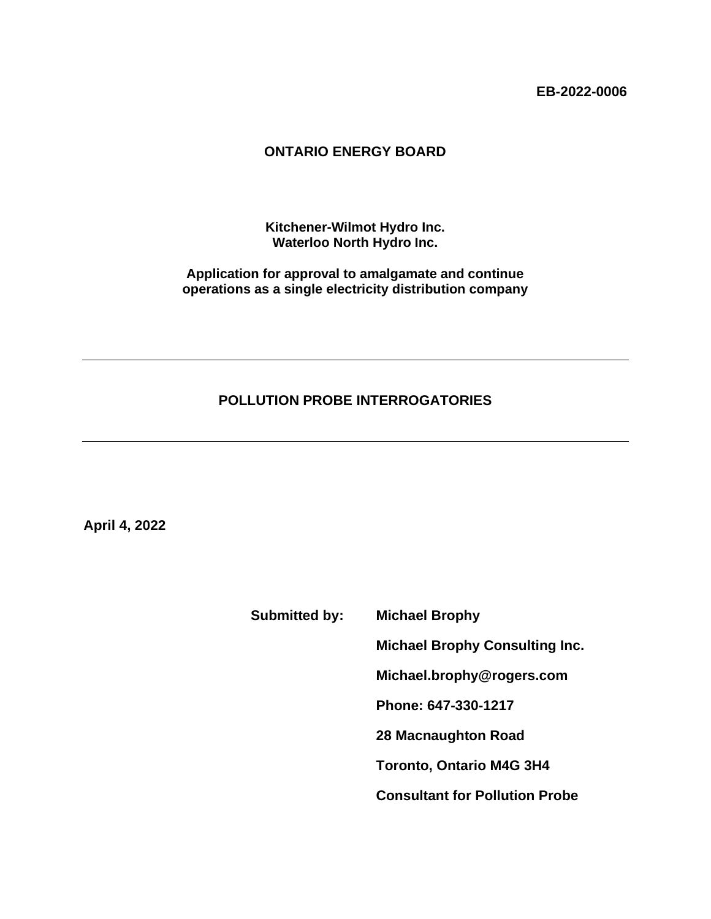**EB-2022-0006**

#### **ONTARIO ENERGY BOARD**

**Kitchener-Wilmot Hydro Inc. Waterloo North Hydro Inc.**

**Application for approval to amalgamate and continue operations as a single electricity distribution company**

#### **POLLUTION PROBE INTERROGATORIES**

**April 4, 2022**

**Submitted by: Michael Brophy**

**Michael Brophy Consulting Inc.**

**Michael.brophy@rogers.com**

**Phone: 647-330-1217**

**28 Macnaughton Road**

**Toronto, Ontario M4G 3H4**

**Consultant for Pollution Probe**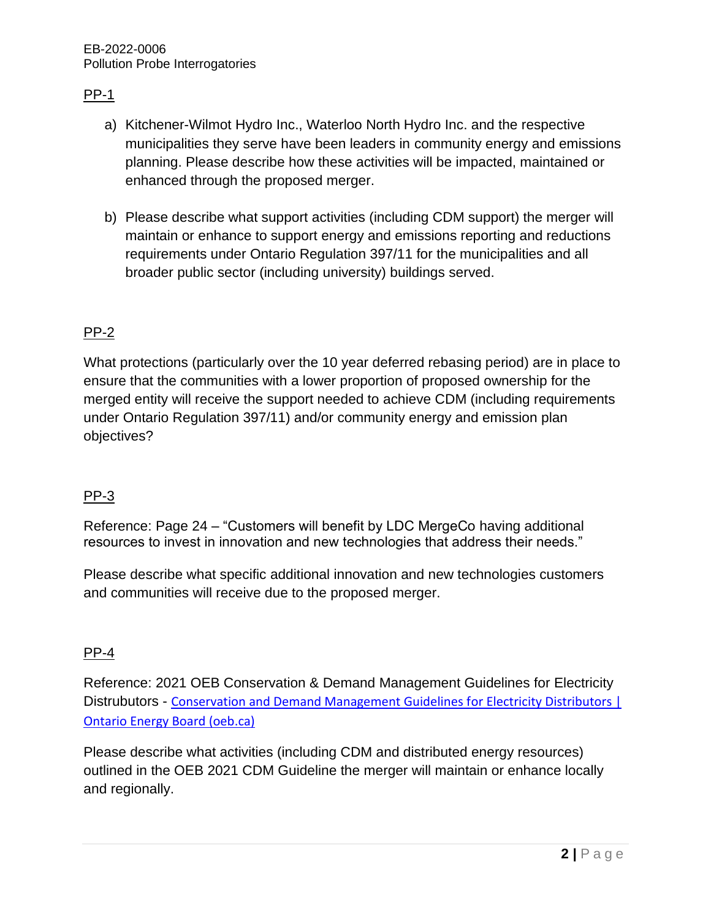## $PP-1$

- a) Kitchener-Wilmot Hydro Inc., Waterloo North Hydro Inc. and the respective municipalities they serve have been leaders in community energy and emissions planning. Please describe how these activities will be impacted, maintained or enhanced through the proposed merger.
- b) Please describe what support activities (including CDM support) the merger will maintain or enhance to support energy and emissions reporting and reductions requirements under Ontario Regulation 397/11 for the municipalities and all broader public sector (including university) buildings served.

## PP-2

What protections (particularly over the 10 year deferred rebasing period) are in place to ensure that the communities with a lower proportion of proposed ownership for the merged entity will receive the support needed to achieve CDM (including requirements under Ontario Regulation 397/11) and/or community energy and emission plan objectives?

### PP-3

Reference: Page 24 – "Customers will benefit by LDC MergeCo having additional resources to invest in innovation and new technologies that address their needs."

Please describe what specific additional innovation and new technologies customers and communities will receive due to the proposed merger.

### PP-4

Reference: 2021 OEB Conservation & Demand Management Guidelines for Electricity Distrubutors - [Conservation and Demand Management Guidelines for Electricity Distributors |](https://www.oeb.ca/regulatory-rules-and-documents/rules-codes-and-requirements/cdm-guidelines-electricity)  [Ontario Energy Board \(oeb.ca\)](https://www.oeb.ca/regulatory-rules-and-documents/rules-codes-and-requirements/cdm-guidelines-electricity)

Please describe what activities (including CDM and distributed energy resources) outlined in the OEB 2021 CDM Guideline the merger will maintain or enhance locally and regionally.